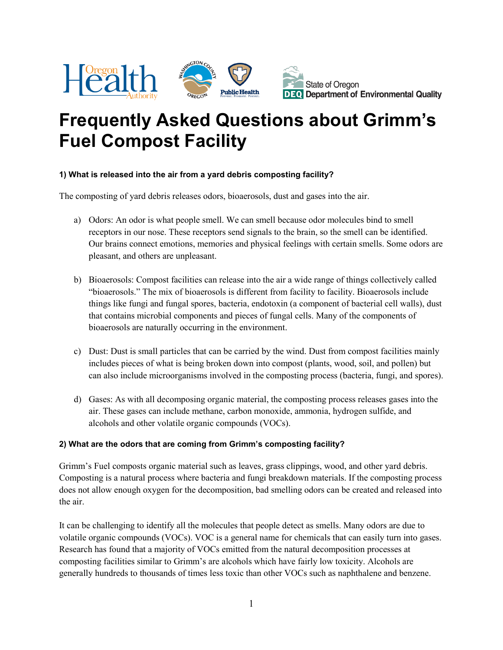

# **Frequently Asked Questions about Grimm's Fuel Compost Facility**

### **1) What is released into the air from a yard debris composting facility?**

The composting of yard debris releases odors, bioaerosols, dust and gases into the air.

- a) Odors: An odor is what people smell. We can smell because odor molecules bind to smell receptors in our nose. These receptors send signals to the brain, so the smell can be identified. Our brains connect emotions, memories and physical feelings with certain smells. Some odors are pleasant, and others are unpleasant.
- b) Bioaerosols: Compost facilities can release into the air a wide range of things collectively called "bioaerosols." The mix of bioaerosols is different from facility to facility. Bioaerosols include things like fungi and fungal spores, bacteria, endotoxin (a component of bacterial cell walls), dust that contains microbial components and pieces of fungal cells. Many of the components of bioaerosols are naturally occurring in the environment.
- c) Dust: Dust is small particles that can be carried by the wind. Dust from compost facilities mainly includes pieces of what is being broken down into compost (plants, wood, soil, and pollen) but can also include microorganisms involved in the composting process (bacteria, fungi, and spores).
- d) Gases: As with all decomposing organic material, the composting process releases gases into the air. These gases can include methane, carbon monoxide, ammonia, hydrogen sulfide, and alcohols and other volatile organic compounds (VOCs).

## **2) What are the odors that are coming from Grimm's composting facility?**

Grimm's Fuel composts organic material such as leaves, grass clippings, wood, and other yard debris. Composting is a natural process where bacteria and fungi breakdown materials. If the composting process does not allow enough oxygen for the decomposition, bad smelling odors can be created and released into the air.

It can be challenging to identify all the molecules that people detect as smells. Many odors are due to volatile organic compounds (VOCs). VOC is a general name for chemicals that can easily turn into gases. Research has found that a majority of VOCs emitted from the natural decomposition processes at composting facilities similar to Grimm's are alcohols which have fairly low toxicity. Alcohols are generally hundreds to thousands of times less toxic than other VOCs such as naphthalene and benzene.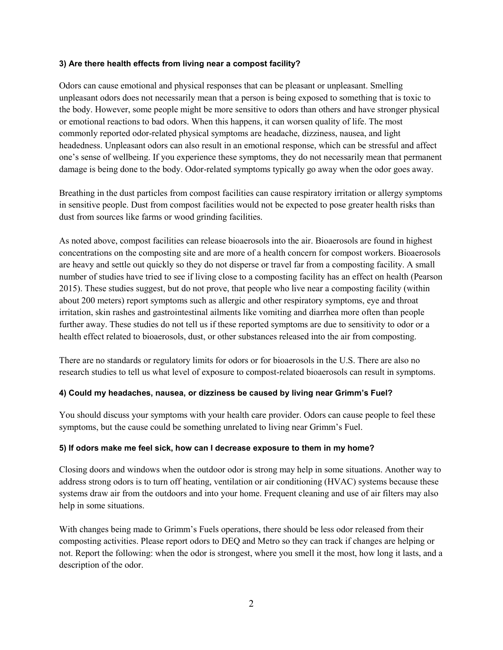#### **3) Are there health effects from living near a compost facility?**

Odors can cause emotional and physical responses that can be pleasant or unpleasant. Smelling unpleasant odors does not necessarily mean that a person is being exposed to something that is toxic to the body. However, some people might be more sensitive to odors than others and have stronger physical or emotional reactions to bad odors. When this happens, it can worsen quality of life. The most commonly reported odor-related physical symptoms are headache, dizziness, nausea, and light headedness. Unpleasant odors can also result in an emotional response, which can be stressful and affect one's sense of wellbeing. If you experience these symptoms, they do not necessarily mean that permanent damage is being done to the body. Odor-related symptoms typically go away when the odor goes away.

Breathing in the dust particles from compost facilities can cause respiratory irritation or allergy symptoms in sensitive people. Dust from compost facilities would not be expected to pose greater health risks than dust from sources like farms or wood grinding facilities.

As noted above, compost facilities can release bioaerosols into the air. Bioaerosols are found in highest concentrations on the composting site and are more of a health concern for compost workers. Bioaerosols are heavy and settle out quickly so they do not disperse or travel far from a composting facility. A small number of studies have tried to see if living close to a composting facility has an effect on health (Pearson 2015). These studies suggest, but do not prove, that people who live near a composting facility (within about 200 meters) report symptoms such as allergic and other respiratory symptoms, eye and throat irritation, skin rashes and gastrointestinal ailments like vomiting and diarrhea more often than people further away. These studies do not tell us if these reported symptoms are due to sensitivity to odor or a health effect related to bioaerosols, dust, or other substances released into the air from composting.

There are no standards or regulatory limits for odors or for bioaerosols in the U.S. There are also no research studies to tell us what level of exposure to compost-related bioaerosols can result in symptoms.

#### **4) Could my headaches, nausea, or dizziness be caused by living near Grimm's Fuel?**

You should discuss your symptoms with your health care provider. Odors can cause people to feel these symptoms, but the cause could be something unrelated to living near Grimm's Fuel.

#### **5) If odors make me feel sick, how can I decrease exposure to them in my home?**

Closing doors and windows when the outdoor odor is strong may help in some situations. Another way to address strong odors is to turn off heating, ventilation or air conditioning (HVAC) systems because these systems draw air from the outdoors and into your home. Frequent cleaning and use of air filters may also help in some situations.

With changes being made to Grimm's Fuels operations, there should be less odor released from their composting activities. Please report odors to DEQ and Metro so they can track if changes are helping or not. Report the following: when the odor is strongest, where you smell it the most, how long it lasts, and a description of the odor.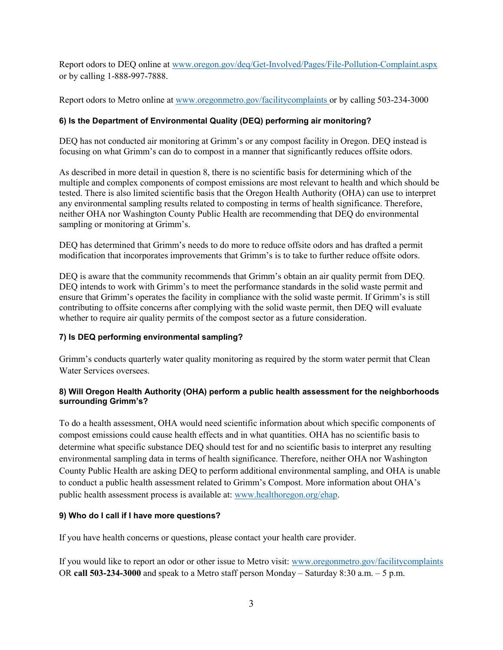Report odors to DEQ online at [www.oregon.gov/deq/Get-Involved/Pages/File-Pollution-Complaint.aspx](http://www.oregon.gov/deq/Get-Involved/Pages/File-Pollution-Complaint.aspx) or by calling 1-888-997-7888.

Report odors to Metro online at www.oregonmetro.gov/facilitycomplaints or by calling 503-234-3000

## **6) Is the Department of Environmental Quality (DEQ) performing air monitoring?**

DEQ has not conducted air monitoring at Grimm's or any compost facility in Oregon. DEQ instead is focusing on what Grimm's can do to compost in a manner that significantly reduces offsite odors.

As described in more detail in question 8, there is no scientific basis for determining which of the multiple and complex components of compost emissions are most relevant to health and which should be tested. There is also limited scientific basis that the Oregon Health Authority (OHA) can use to interpret any environmental sampling results related to composting in terms of health significance. Therefore, neither OHA nor Washington County Public Health are recommending that DEQ do environmental sampling or monitoring at Grimm's.

DEQ has determined that Grimm's needs to do more to reduce offsite odors and has drafted a permit modification that incorporates improvements that Grimm's is to take to further reduce offsite odors.

DEQ is aware that the community recommends that Grimm's obtain an air quality permit from DEQ. DEQ intends to work with Grimm's to meet the performance standards in the solid waste permit and ensure that Grimm's operates the facility in compliance with the solid waste permit. If Grimm's is still contributing to offsite concerns after complying with the solid waste permit, then DEQ will evaluate whether to require air quality permits of the compost sector as a future consideration.

# **7) Is DEQ performing environmental sampling?**

Grimm's conducts quarterly water quality monitoring as required by the storm water permit that Clean Water Services oversees.

## **8) Will Oregon Health Authority (OHA) perform a public health assessment for the neighborhoods surrounding Grimm's?**

To do a health assessment, OHA would need scientific information about which specific components of compost emissions could cause health effects and in what quantities. OHA has no scientific basis to determine what specific substance DEQ should test for and no scientific basis to interpret any resulting environmental sampling data in terms of health significance. Therefore, neither OHA nor Washington County Public Health are asking DEQ to perform additional environmental sampling, and OHA is unable to conduct a public health assessment related to Grimm's Compost. More information about OHA's public health assessment process is available at: [www.healthoregon.org/ehap.](http://www.healthoregon.org/ehap)

# **9) Who do I call if I have more questions?**

If you have health concerns or questions, please contact your health care provider.

If you would like to report an odor or other issue to Metro visit: [www.oregonmetro.gov/facilitycomplaints](http://www.oregonmetro.gov/facilitycomplaints%20OR%20call%20503-234-3000)  OR **[call 503-234-3000](http://www.oregonmetro.gov/facilitycomplaints%20OR%20call%20503-234-3000)** and speak to a Metro staff person Monday – Saturday 8:30 a.m. – 5 p.m.